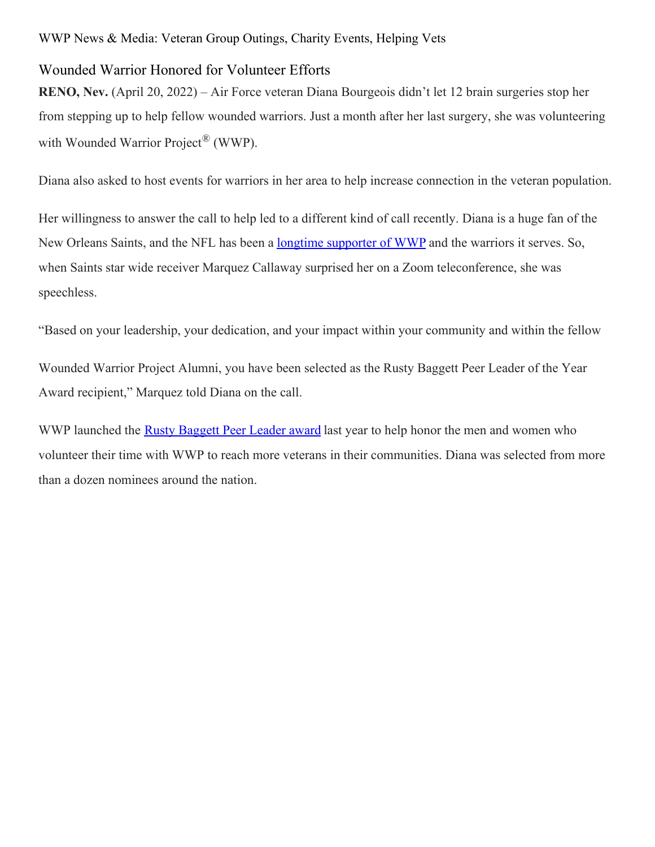## Wounded Warrior Honored for Volunteer Efforts

**RENO, Nev.** (April 20, 2022) – Air Force veteran Diana Bourgeois didn't let 12 brain surgeries stop her from stepping up to help fellow wounded warriors. Just a month after her last surgery, she was volunteering with Wounded Warrior Project<sup>®</sup> (WWP).

Diana also asked to host events for warriors in her area to help increase connection in the veteran population.

Her willingness to answer the call to help led to a different kind of call recently. Diana is a huge fan of the New Orleans Saints, and the NFL has been a longtime [supporter](https://newsroom.woundedwarriorproject.org/Wounded-Warrior-Project-and-the-NFL-Celebrate-a-Decade-of-Partnership) of WWP and the warriors it serves. So, when Saints star wide receiver Marquez Callaway surprised her on a Zoom teleconference, she was speechless.

"Based on your leadership, your dedication, and your impact within your community and within the fellow

Wounded Warrior Project Alumni, you have been selected as the Rusty Baggett Peer Leader of the Year Award recipient," Marquez told Diana on the call.

WWP launched the Rusty [Baggett](https://newsroom.woundedwarriorproject.org/2021-05-10-Wounded-Warrior-Project-Honors-Volunteer-Leaders) Peer Leader award last year to help honor the men and women who volunteer their time with WWP to reach more veterans in their communities. Diana was selected from more than a dozen nominees around the nation.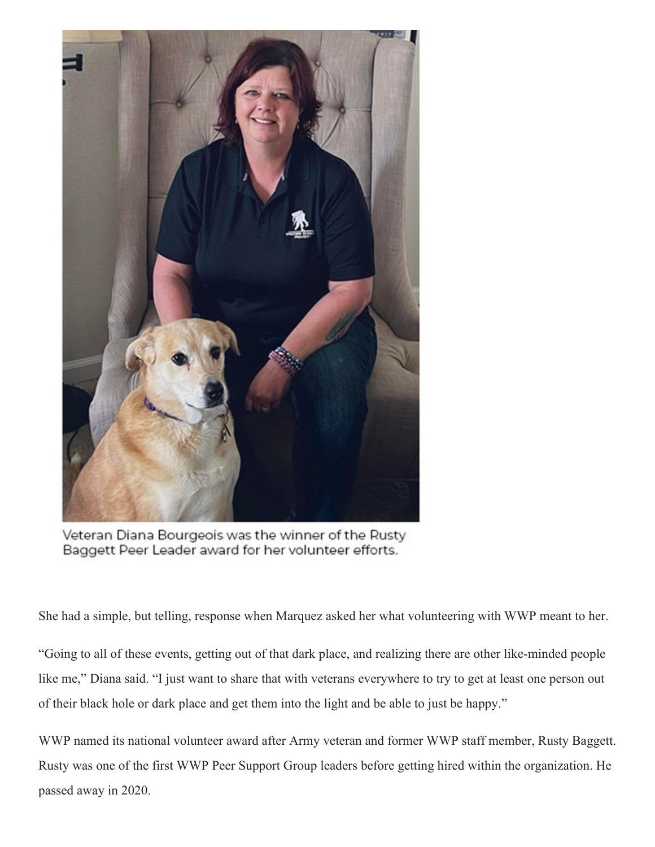

Veteran Diana Bourgeois was the winner of the Rusty Baggett Peer Leader award for her volunteer efforts.

She had a simple, but telling, response when Marquez asked her what volunteering with WWP meant to her.

"Going to all of these events, getting out of that dark place, and realizing there are other like-minded people like me," Diana said. "I just want to share that with veterans everywhere to try to get at least one person out of their black hole or dark place and get them into the light and be able to just be happy."

WWP named its national volunteer award after Army veteran and former WWP staff member, Rusty Baggett. Rusty was one of the first WWP Peer Support Group leaders before getting hired within the organization. He passed away in 2020.